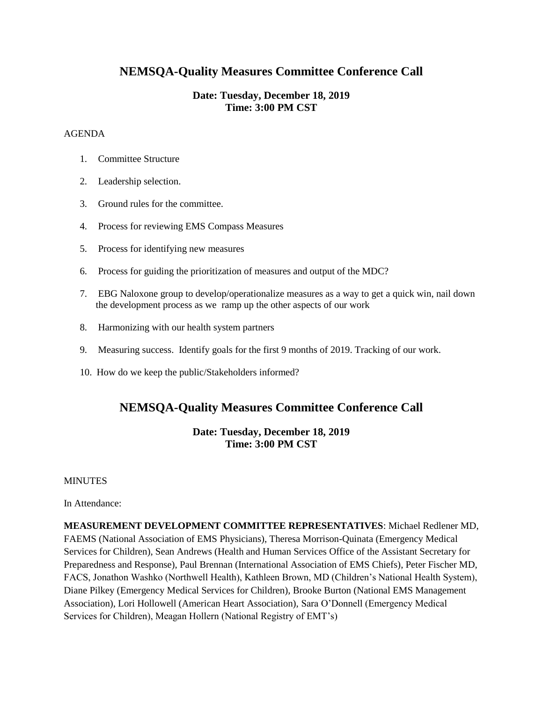# **NEMSQA-Quality Measures Committee Conference Call**

## **Date: Tuesday, December 18, 2019 Time: 3:00 PM CST**

## AGENDA

- 1. Committee Structure
- 2. Leadership selection.
- 3. Ground rules for the committee.
- 4. Process for reviewing EMS Compass Measures
- 5. Process for identifying new measures
- 6. Process for guiding the prioritization of measures and output of the MDC?
- 7. EBG Naloxone group to develop/operationalize measures as a way to get a quick win, nail down the development process as we ramp up the other aspects of our work
- 8. Harmonizing with our health system partners
- 9. Measuring success. Identify goals for the first 9 months of 2019. Tracking of our work.
- 10. How do we keep the public/Stakeholders informed?

# **NEMSQA-Quality Measures Committee Conference Call**

## **Date: Tuesday, December 18, 2019 Time: 3:00 PM CST**

## **MINUTES**

## In Attendance:

**MEASUREMENT DEVELOPMENT COMMITTEE REPRESENTATIVES**: Michael Redlener MD, FAEMS (National Association of EMS Physicians), Theresa Morrison-Quinata (Emergency Medical Services for Children), Sean Andrews (Health and Human Services Office of the Assistant Secretary for Preparedness and Response), Paul Brennan (International Association of EMS Chiefs), Peter Fischer MD, FACS, Jonathon Washko (Northwell Health), Kathleen Brown, MD (Children's National Health System), Diane Pilkey (Emergency Medical Services for Children), Brooke Burton (National EMS Management Association), Lori Hollowell (American Heart Association), Sara O'Donnell (Emergency Medical Services for Children), Meagan Hollern (National Registry of EMT's)